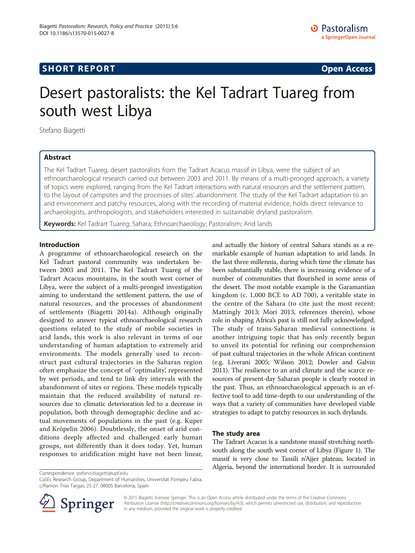# **SHORT REPORT SHORT CONSUMING THE CONSUMING THE CONSUMING THE CONSUMING THE CONSUMING THE CONSUMING THE CONSUMING THE CONSUMING THE CONSUMING THE CONSUMING THE CONSUMING THE CONSUMING THE CONSUMING THE CONSUMING THE CO**

# Desert pastoralists: the Kel Tadrart Tuareg from south west Libya

Stefano Biagetti

# Abstract

The Kel Tadrart Tuareg, desert pastoralists from the Tadrart Acacus massif in Libya, were the subject of an ethnoarchaeological research carried out between 2003 and 2011. By means of a multi-pronged approach, a variety of topics were explored, ranging from the Kel Tadrart interactions with natural resources and the settlement pattern, to the layout of campsites and the processes of sites' abandonment. The study of the Kel Tadrart adaptation to an arid environment and patchy resources, along with the recording of material evidence, holds direct relevance to archaeologists, anthropologists, and stakeholders interested in sustainable dryland pastoralism.

Keywords: Kel Tadrart Tuareg; Sahara; Ethnoarchaeology; Pastoralism; Arid lands

## Introduction

A programme of ethnoarchaeological research on the Kel Tadrart pastoral community was undertaken between 2003 and 2011. The Kel Tadrart Tuareg of the Tadrart Acacus mountains, in the south west corner of Libya, were the subject of a multi-pronged investigation aiming to understand the settlement pattern, the use of natural resources, and the processes of abandonment of settlements (Biagetti [2014a\)](#page-3-0). Although originally designed to answer typical ethnoarchaeological research questions related to the study of mobile societies in arid lands, this work is also relevant in terms of our understanding of human adaptation to extremely arid environments. The models generally used to reconstruct past cultural trajectories in the Saharan region often emphasize the concept of 'optimality', represented by wet periods, and tend to link dry intervals with the abandonment of sites or regions. These models typically maintain that the reduced availability of natural resources due to climatic deterioration led to a decrease in population, both through demographic decline and actual movements of populations in the past (e.g. Kuper and Kröpelin [2006\)](#page-3-0). Doubtlessly, the onset of arid conditions deeply affected and challenged early human groups, not differently than it does today. Yet, human responses to aridification might have not been linear,

and actually the history of central Sahara stands as a remarkable example of human adaptation to arid lands. In the last three millennia, during which time the climate has been substantially stable, there is increasing evidence of a number of communities that flourished in some areas of the desert. The most notable example is the Garamantian kingdom (c. 1,000 BCE to AD 700), a veritable state in the centre of the Sahara (to cite just the most recent: Mattingly [2013](#page-3-0); Mori [2013](#page-3-0), references therein), whose role in shaping Africa's past is still not fully acknowledged. The study of trans-Saharan medieval connections is another intriguing topic that has only recently begun to unveil its potential for refining our comprehension of past cultural trajectories in the whole African continent (e.g. Liverani [2005;](#page-3-0) Wilson [2012;](#page-3-0) Dowler and Galvin [2011\)](#page-3-0). The resilience to an arid climate and the scarce resources of present-day Saharan people is clearly rooted in the past. Thus, an ethnoarchaeological approach is an effective tool to add time-depth to our understanding of the ways that a variety of communities have developed viable strategies to adapt to patchy resources in such drylands.

#### The study area

The Tadrart Acacus is a sandstone massif stretching northsouth along the south west corner of Libya (Figure [1\)](#page-1-0). The massif is very close to Tassili n'Ajjer plateau, located in Algeria, beyond the international border. It is surrounded

Correspondence: [stefano.biagetti@upf.edu](mailto:stefano.biagetti@upf.edu)

CaSEs Research Group, Department of Humanities, Universitat Pompeu Fabra, c/Ramon Trias Fargas, 25-27, 08005 Barcelona, Spain



© 2015 Biagetti; licensee Springer. This is an Open Access article distributed under the terms of the Creative Commons Attribution License [\(http://creativecommons.org/licenses/by/4.0\)](http://creativecommons.org/licenses/by/4.0), which permits unrestricted use, distribution, and reproduction in any medium, provided the original work is properly credited.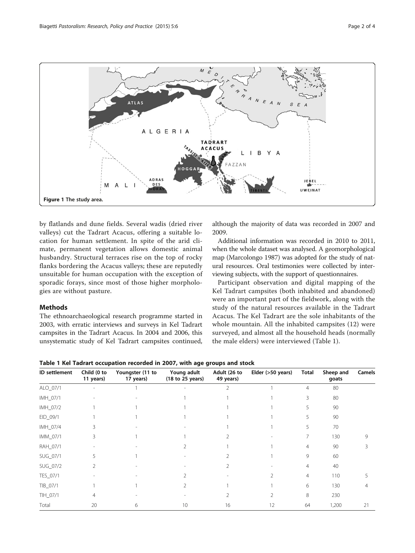<span id="page-1-0"></span>

by flatlands and dune fields. Several wadis (dried river valleys) cut the Tadrart Acacus, offering a suitable location for human settlement. In spite of the arid climate, permanent vegetation allows domestic animal husbandry. Structural terraces rise on the top of rocky flanks bordering the Acacus valleys; these are reputedly unsuitable for human occupation with the exception of sporadic forays, since most of those higher morphologies are without pasture.

### Methods

The ethnoarchaeological research programme started in 2003, with erratic interviews and surveys in Kel Tadrart campsites in the Tadrart Acacus. In 2004 and 2006, this unsystematic study of Kel Tadrart campsites continued,

although the majority of data was recorded in 2007 and 2009.

Additional information was recorded in 2010 to 2011, when the whole dataset was analysed. A geomorphological map (Marcolongo [1987](#page-3-0)) was adopted for the study of natural resources. Oral testimonies were collected by interviewing subjects, with the support of questionnaires.

Participant observation and digital mapping of the Kel Tadrart campsites (both inhabited and abandoned) were an important part of the fieldwork, along with the study of the natural resources available in the Tadrart Acacus. The Kel Tadrart are the sole inhabitants of the whole mountain. All the inhabited campsites (12) were surveyed, and almost all the household heads (normally the male elders) were interviewed (Table 1).

Table 1 Kel Tadrart occupation recorded in 2007, with age groups and stock

| ID settlement | Child (0 to<br>11 years) | Youngster (11 to<br>17 years) | Young adult<br>(18 to 25 years) | Adult (26 to<br>49 years) | Elder (>50 years) | <b>Total</b>   | Sheep and<br>goats | Camels |
|---------------|--------------------------|-------------------------------|---------------------------------|---------------------------|-------------------|----------------|--------------------|--------|
| ALO_07/1      |                          |                               |                                 |                           |                   | $\overline{4}$ | 80                 |        |
| IMH_07/1      |                          |                               |                                 |                           |                   | 3              | 80                 |        |
| IMH_07/2      |                          |                               |                                 |                           |                   | 5              | 90                 |        |
| EID_09/1      |                          |                               |                                 |                           |                   | 5              | 90                 |        |
| IMH_07/4      | 3                        |                               |                                 |                           |                   | 5              | 70                 |        |
| IMM_07/1      | 3                        |                               |                                 |                           |                   |                | 130                | 9      |
| RAH_07/1      |                          |                               |                                 |                           |                   | 4              | 90                 |        |
| SUG_07/1      | 5                        |                               |                                 |                           |                   | 9              | 60                 |        |
| SUG_07/2      | 2                        |                               |                                 |                           |                   | 4              | 40                 |        |
| TES_07/1      |                          |                               |                                 |                           |                   | $\overline{4}$ | 110                |        |
| TIB_07/1      |                          |                               |                                 |                           |                   | 6              | 130                |        |
| TIH_07/1      | 4                        |                               |                                 |                           | 2                 | 8              | 230                |        |
| Total         | 20                       | 6                             | 10                              | 16                        | 12                | 64             | 1,200              | 21     |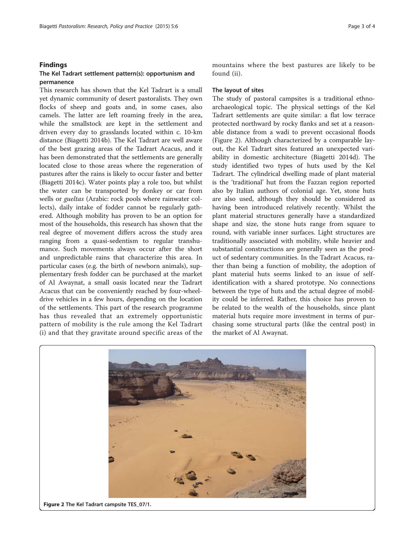#### Findings

## The Kel Tadrart settlement pattern(s): opportunism and permanence

This research has shown that the Kel Tadrart is a small yet dynamic community of desert pastoralists. They own flocks of sheep and goats and, in some cases, also camels. The latter are left roaming freely in the area, while the smallstock are kept in the settlement and driven every day to grasslands located within c. 10-km distance (Biagetti [2014b\)](#page-3-0). The Kel Tadrart are well aware of the best grazing areas of the Tadrart Acacus, and it has been demonstrated that the settlements are generally located close to those areas where the regeneration of pastures after the rains is likely to occur faster and better (Biagetti [2014c\)](#page-3-0). Water points play a role too, but whilst the water can be transported by donkey or car from wells or gueltas (Arabic: rock pools where rainwater collects), daily intake of fodder cannot be regularly gathered. Although mobility has proven to be an option for most of the households, this research has shown that the real degree of movement differs across the study area ranging from a quasi-sedentism to regular transhumance. Such movements always occur after the short and unpredictable rains that characterize this area. In particular cases (e.g. the birth of newborn animals), supplementary fresh fodder can be purchased at the market of Al Awaynat, a small oasis located near the Tadrart Acacus that can be conveniently reached by four-wheeldrive vehicles in a few hours, depending on the location of the settlements. This part of the research programme has thus revealed that an extremely opportunistic pattern of mobility is the rule among the Kel Tadrart (i) and that they gravitate around specific areas of the

mountains where the best pastures are likely to be found (ii).

#### The layout of sites

The study of pastoral campsites is a traditional ethnoarchaeological topic. The physical settings of the Kel Tadrart settlements are quite similar: a flat low terrace protected northward by rocky flanks and set at a reasonable distance from a wadi to prevent occasional floods (Figure 2). Although characterized by a comparable layout, the Kel Tadrart sites featured an unexpected variability in domestic architecture (Biagetti [2014d](#page-3-0)). The study identified two types of huts used by the Kel Tadrart. The cylindrical dwelling made of plant material is the 'traditional' hut from the Fazzan region reported also by Italian authors of colonial age. Yet, stone huts are also used, although they should be considered as having been introduced relatively recently. Whilst the plant material structures generally have a standardized shape and size, the stone huts range from square to round, with variable inner surfaces. Light structures are traditionally associated with mobility, while heavier and substantial constructions are generally seen as the product of sedentary communities. In the Tadrart Acacus, rather than being a function of mobility, the adoption of plant material huts seems linked to an issue of selfidentification with a shared prototype. No connections between the type of huts and the actual degree of mobility could be inferred. Rather, this choice has proven to be related to the wealth of the households, since plant material huts require more investment in terms of purchasing some structural parts (like the central post) in the market of Al Awaynat.